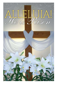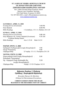### **ST. JAMES OF NISIBIS ARMENIAN CHURCH** ՍԲ. ՅԱԿՈԲ ՄԾԲՆԱՑԻ ՀԱՅՐԱՊԵՏ ՀԱՅԱՍՏԱՆԵԱՅՑ ԱՌԱՔԵԼԱԿԱՆ ԵԿԵՂԵՑԻ

Rev. Father Hovhan Khoja-Eynatyan, Pastor Deacon Larry Farsakian, Sacristan 816 Clark Street, Evanston, IL 60201 Tel: 847-864-6263, e-mail: office@stjamesevanston.org [www.stjamesevanston.org](http://www.stjamesevanston.org/)

### **SATURDAY, APRIL 11, 2020**

| Evening Service (livestream) | $5:00 \text{ PM}$                       |
|------------------------------|-----------------------------------------|
| Holy Badarak                 | $6:00 \text{ PM}$                       |
| <b>Bible Readings</b>        | 1 Corinthians. 15:1-11; Matthew 28:1-20 |

### **SUNDAY, APRIL 12, 2020**

| Morning Service (livestream)                      |                |  | 8:00 AM     |
|---------------------------------------------------|----------------|--|-------------|
| Holy Badarak at St. Vartan Cathedral (livestream) |                |  | 9:30 AM     |
| Celebrant Bishop Daniel                           |                |  |             |
| <b>Bible Readings</b>                             | Acts $1:15-26$ |  | Mark 16:2-8 |

### ՇԱԲԱԹ, ԱՊՐԻԼ 11, 2020

| Երեկոյան Ժամերգութիւն ( <i>ուղիղ հեռարձակում</i> ) |                             | 5:00                              |
|----------------------------------------------------|-----------------------------|-----------------------------------|
| Uning Tuununung                                    |                             | 6:00                              |
| Ընթերցումներ                                       |                             | Ա Կորնթ. 15:1-11; Մատթէոս 28:1-20 |
| ԿԻՐԱԿԻ, ԱՊՐԻԼ 12, 2020                             |                             |                                   |
| Ununountuuu Juuu (ninhy htanunaulynui)             |                             | 8:00                              |
| Soնական Պատարագ                                    |                             |                                   |
| Մբ. Վարդան Մայր Տաճարին մէջ                        |                             | 9:30                              |
| $(n\nu n/n)$ http://aulnuthum.com/                 |                             |                                   |
| Ընթերցումներ                                       | Գործք 1:15-26 Մարկոս 16:2-8 |                                   |

### **Phuunu 3untuu h Utabing:** Onhūtuu t 3wnnLphLuū Pnhumnuh:

*Kreesdos Haryav Ee Merelotz. Orhnyal eh Harootiunun Kreesdosee.*

**CHRIST IS RISEN FROM THE DEAD! BLESSED IS THE RESURRECTION OF CHRIST!**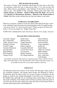#### **THE SEASON OF EASTER**

The season of Easter in the Armenian Church lasts for forty days to the Feast of Ascension, which this year is observed on May 5. It is not one day, but forty, filled with joy and gladness, with Alleluias for the Risen Lord who is with us now. The faithful of the Armenian Church greet each other with *Krisdos Haryav ee Merelotz* - **Christ is Risen from the Dead**: and answer with *Ohrnyal eh Haroutiunun Krisdosee* - **Blessed is the Resurrection of Christ**. May these words coming from our lips also radiate in our hearts.

#### **NAME DAY CELEBRATION**

Whenever you know a friend or loved one whose Name Day/Feast Day is soon to be celebrated, honor the person by presenting them with a lit candle saying, "*Anoonovut abrees*" or "*Anoonovut dzeranas*" ("May you grow old with your name"). Or you can simply say, "Happy Name Day!"

NAME DAY celebrated this week: *Haroutoun, Harout, Artin, Zadig, Anastasia*

### **PLEASE PRAY FOR OUR SICK**

Alexander Adajian Saro Anbarchian Andre, Servant of God Naringul Caliscan Carolyn Conger Veronica Dadourian Sam Davidson Seda Dilanjian Rick Gergerian Vartges Goorji

- Hoyle Green Michael Green Nargez Hamayak Fred Harburg Robert Lapointe Cassandra Mitchell Varvara Movsesyan Joy Nazarian Shirley Omartian Dn. Hagop Papazian
- Nanci Perkhaus Sofia Petrosyan Antony Puckett Virgie Jandegian Saskowski Surpik Simon Vigen Ter-Avakian Milan Thakkar Terre Tuzzolino Kary Valenziano Carla Ziegler

*If you know of anyone that needs our special prayers, please call the church office (847) 864-6263 or Der Hovhan (847) 644-7389 so that their names can be included on this list or if a name should be removed.*

#### **ANDASTAN**

The Blessing of the Four Corners of the World will take place today in all of our Armenian Churches. The ancient ritual invokes the Blessing of Christ's Resurrection upon the whole world. Let us pray for peace everywhere, for the people in Armenia and Artsakh (Karabagh), in the Holy City of Jerusalem, in the Middle East, especially for our Armenian sisters and brothers in Syria, for the people of Darfur, in the Sudan and for all those countries where the pains of war exist, that all men and women may enjoy the fruits of their honest labor in societies based upon justice and brotherhood.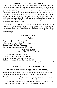### *MERELOTZ* **– DAY OF REMEMBRANCE**

It is a solemn tradition that on the day following the 5 major feast days of the Armenian Church, a day is observed in memory of those who have passed away, and are asleep in Jesus Christ. On this day, the faithful will visit the gravesides of their dearly departed, and the priest will offer requiem prayers for their souls. According to tradition, a special Divine Liturgy is also held on these days, when the faithful can remember the names of all of the faithful for whom we pray for eternal life. These Divine Liturgies are not typically celebrated in the Diaspora, because of people's work schedules, but the faithful are invited to offer the names of the faithful to be prayed for during the Divine Liturgy celebrated the following Sunday.

If you would like to observe this tradition on the Sunday following a major feast day, which includes Christmas, Easter, Feast of the Transfiguration, Assumption of the Holy Virgin Mary, and the Exaltation of the Holy Cross, please contact the Church Office or Der Hovhan. The next *Hokehankisd* will be offered on April 19.

### ՃԱՇՈՒ ՇԱՐԱԿԱՆ Հարեաւ Քրիստոս

Հարեաւ Քրիստոս ի մեռելոց, Ալէլուիա: Եկայք ժողովուրդքերգեցէք Տեառն Ալէլուիա: Յարուցելոյն ի մեռելոց, Ալէլուիա: Որ զաշխարհս լուսաւորեաց: Ալէլուիա:

### **MIDDAY HYMN Christ is Risen from the Dead!**

Christ is risen from the dead! Alleluia! Come ye peoples, sing to the Lord: Alleluia! To Him who is risen from the dead, alleluia! To Him who has enlightened the world, alleluia!

*(translated by Tiran Abp. Nersoyan)*

### **INTROIT FOR EASTER AND EASTERTIDE**

*Kreesdos haryav ee merelotz* **(**Քրիստոս յարեաւ ի մեռելոց**)**

*Քրիստոս յարեաւ ի մեռելոց, մահուամբ ըզ մահ կոխեաց. եւ յարութեամբըն իւրով մեզ ըզկեանըս պարգեւեաց. Նըմա փառք յաւիտեանս. ամէն:*

*Kreesdos haryav ee merelotz, mahvamp uzmah gokhyats yev harootyampun yoorov mez uzgyanus barkevyats. Numa park haveedyans. Amen.*

Christ is risen from the dead! By his death he has trampled on death and by his resurrection he has granted us life. To Him be glory forever. Amen.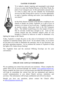### **EASTER** *YUGHAKIN*



"It is indeed a deeply inspiring and meaningful week ahead of us as we enter into Paschal Mystery of the Holy Week, the peak of our Liturgical year. In this particularly unusual time, we write to share with you the schedule for livestreamed services for Holy Week and to convey to you the opportunity to send a *Yughakin* offering and renew your membership in our church."

#### **GIFT OF LOVE**

In this Holy Season of Easter it has become a tradition in our church to donate our Easter *Yughakins* as a gift of love in memory or in honor of our loved ones. Yughakin tradition is an ancient custom, which goes back to the Old Testament times. The faithful would bring oil to the temple of God so that its servants would have enough to eat. Later on this custom entered into the Christian religion when oil was brought to Church by believers in order to illuminate it by

lighting the lamps in the Church.

Today, *Yughakin* is simply the price or the value of oil donated to the Church. *Yughakin* in Armenian means "price of oil." In our church, today, we of course do not burn oil in order to illuminate the sanctuary, but we use electricity, gas and other operating expenses. Let us continue the custom of *Yughakin* to keep the lights of St. James always burning!

The Yughakin form and the enclosed Offering Envelope are for your convenience.



**UPDATE YOU CONTACT INFORMATION**

We are updating our contact lists and need your assistance. Please complete the online form (can be accessed through our website [www.sjamesevanston.org.](http://www.sjamesevanston.org/) Please complete the form even if you previously provided this information as it will help us consolidate the various lists that are maintained and improve overall communication to you about Church services, ministries, and activities. This information will be kept confidential and will not be shared.

Should you have any questions, please contact the Church office at [office@stjamesevanston.org.](mailto:office@stjamesevanston.org)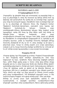## **SCRIPTURE READINGS**

### SATURDAY, April 11, 2020

### **Ա Կորնթացիներուն 15:1-11**

 $1$ Եղբայրնե՛ր, կը գիտցնեմ ձեզի այն աւետարանը՝ որ քարոզեցի ձեզի, ու դուք ալ ընդունեցիք եւ անոր մէջ հաստատ կը կենաք: [2](http://biblehub.com/1_corinthians/15-2.htm)Անով նաեւ կը փրկուիք, եթէ յիշողութեան մէջ պահէք ինչ որ աւետեցի ձեզի. այլապէս՝ զուր տեղը հաւատացած կ՚ըլլաք: [3](http://biblehub.com/1_corinthians/15-3.htm)Որովհետեւ նախ աւանդեցի ձեզի այն՝ որ ես ալ ընդունեցի, թէ Քրիստոս մեռաւ մեր մեղքերուն համար՝ Գիրքերուն համաձայն, [4](http://biblehub.com/1_corinthians/15-4.htm)թաղուեցաւ, յարութիւն առաւ երրորդ օրը՝ Գիրքերուն համաձայն, [5](http://biblehub.com/1_corinthians/15-5.htm)ու երեւցաւ Կեփասի, ապա տասներկուքին: [6](http://biblehub.com/1_corinthians/15-6.htm)Յետոյ միաժամանակ երեւցաւ հինգ հարիւրէ աւելի եղբայրներու, որոնց մեծ մասը կը մնայ մինչեւ այժմ, իսկ ոմանք ալ ննջեցին: [7](http://biblehub.com/1_corinthians/15-7.htm)Ապա երեւցաւ Յակոբոսի, յետոյ՝ բոլոր առաքեալներուն: [8](http://biblehub.com/1_corinthians/15-8.htm)Բոլորէն ետք՝ երեւցաւ նաեւ ինծի, որպէս թէ վիժածի մը: [9](http://biblehub.com/1_corinthians/15-9.htm)Որովհետեւ ես առաքեալներուն փոքրագոյնն եմ, եւ արժանի ալ չեմ առաքեալ կոչուելու, քանի որ հալածեցի Աստուծոյ եկեղեցին: [10](http://biblehub.com/1_corinthians/15-10.htm)Բայց Աստուծոյ շնորհքո՛վն եմ՝ ինչ որ եմ: Եւ անոր շնորհքը՝ որ իմ վրաս է, ընդունայն չեղաւ. հապա ես անոնց բոլորէն շա՛տ աւելի աշխատեցայ. uակայն ո՛չ թէ ես, հապա Աստուծոյ շնորհքը՝ որ ինծի հետ էր։  $11$ Ուստի՝ թէ՛ ես, թէ՛ անոնք ա՛յսպէս կը քարոզենք, ու դուք ա՛յսպէս հաւատացիք:

### **Մատթէոս 28:1-20**

[1](http://biblehub.com/matthew/28-1.htm)Շաբաթ գիշերը, երբ Մէկշաբթին կը լուսնար, Մարիամ Մագդաղենացին ու միւս Մարիամը եկան՝ տեսնելու գերեզմանը: [2](http://biblehub.com/matthew/28-2.htm)Եւ ահա՛ հզօր երկրաշարժ մը եղաւ, որովհետեւ Տէրոջ հրեշտակը երկինքէն իջնելով՝ եկաւ, դռնէն մէկդի գլորեց քարը ու նստաւ անոր վրայ: [3](http://biblehub.com/matthew/28-3.htm)Անոր տեսքը փայլակի պէս էր, եւ անոր հագուստը՝ ձիւնի պէս ճերմակ: [4](http://biblehub.com/matthew/28-4.htm)Անոր վախէն՝ պահակները ցնցուեցան ու մեռելի պէս եղան: [5](http://biblehub.com/matthew/28-5.htm)Հրեշտակը ըսաւ կիներուն. «Դուք մի՛ վախնաք, քանի որ գիտեմ թէ կը փնտռէք Յիսուսը՝ որ խաչուեցաւ: [6](http://biblehub.com/matthew/28-6.htm)Ան հոս չէ, որովհետեւ յարութիւն առաւ (ինչպէս ըսած էր): Եկէ՛ք, տեսէ՛ք այն տեղը՝ ուր Տէրը դրուած էր: [7](http://biblehub.com/matthew/28-7.htm)Յետոյ շուտո՛վ գացէք, ըսէ՛ք անոր աշակերտներուն. "Ան մեռելներէն յարութիւն առաւ, ու ձեր առջեւէն կ՚երթայ Գալիլեա. հո՛ն պիտի տեսնէք զայն": Ահա՛ ըսի ձեզի»: [8](http://biblehub.com/matthew/28-8.htm)Անոնք ալ շուտով դուրս ելան գերեզմանէն, վախով եւ մեծ ուրախութեամբ, ու վազեցին պատմելու աշակերտներուն: [9](http://biblehub.com/matthew/28-9.htm)Երբ կ՚երթային՝ պատմելու անոր աշակերտներուն, Յիսուս դիմաւորեց զանոնք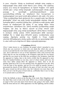եւ ըսաւ. «Ողջո՜յն»: Անոնք ալ մօտենալով՝ բռնեցին անոր ոտքերը ու երկրպագեցին անոր: [10](http://biblehub.com/matthew/28-10.htm)Այն ատեն Յիսուս ըսաւ անոնց. «Մի՛ վախնաք, գացէ՛ք՝ լո՛ւր տուէք իմ եղբայրներուս որ երթան Գալիլեա: Հո՛ն պիտի տեսնեն զիս»: [11](http://biblehub.com/matthew/28-11.htm)Երբ անոնք կ՚երթային, պահակազօրքէն ոմանք գացին քաղաքը եւ պատմեցին քահանայապետներուն բոլոր պատահածները: [12](http://biblehub.com/matthew/28-12.htm)Անոնք ալ՝ երէցներուն հետ հաւաքուելով ու խորհրդակցելով՝ շատ դրամ տուին զինուորներուն, [13](http://biblehub.com/matthew/28-13.htm)եւ ըսին. «Սա՛ ըսէ՛ք. "Անոր աշակերտները եկան գիշերուան մէջ ու գողցան զայն, երբ մենք կը քնանայինք": [14](http://biblehub.com/matthew/28-14.htm)Եթէ այդ բանը հասնի կառավարիչին ականջը, մենք կը համոզենք զինք եւ ապահով կ՚ընենք ձեզ»: [15](http://biblehub.com/matthew/28-15.htm)Անոնք ալ առին դրամը, ըրին ի՛նչպէս որ սորվեցուցած էին իրենց, եւ այս զրոյցը մինչեւ այսօր տարածուեցաւ Հրեաներուն մէջ: [16](http://biblehub.com/matthew/28-16.htm)Իսկ տասնմէկ աշակերտները գացին Գալիլեա, այն լեռը՝ որ Յիսուս որոշած էր: [17](http://biblehub.com/matthew/28-17.htm)Երբ տեսան զայն՝ երկրպագեցին անոր. բայց ոմանք կասկածեցան: [18](http://biblehub.com/matthew/28-18.htm)Իսկ Յիսուս մօտեցաւ եւ խօսեցաւ անոնց՝ ըսելով. «Ամէ՛ն իշխանութիւն ինծի՛ տրուեցաւ՝ երկինքի մէջ ու երկրի վրայ: [19](http://biblehub.com/matthew/28-19.htm)Ուրեմն գացէ՛ք, աշակերտեցէ՛ք բոլոր ազգերը, մկրտեցէ՛ք զանոնք Հօր, Որդիին եւ Սուրբ Հոգիին անունով: [20](http://biblehub.com/matthew/28-20.htm)Սորվեցուցէ՛ք անոնց պահել ամէն ինչ որ պատուիրեցի ձեզի: Եւ ահա՛ ամէն օր ես ձեզի հետ եմ՝ մինչեւ աշխարհի վախճանը»:

### **1 Corinthians 15:1-11**

[1N](http://biblehub.com/1_corinthians/15-1.htm)ow I make known to you, brethren, the gospel which I preached to you, which also you received, in which also you stand, [2b](http://biblehub.com/1_corinthians/15-2.htm)y which also you are saved, if you hold fast the word which I preached to you, unless you believed in vain. [3F](http://biblehub.com/1_corinthians/15-3.htm)or I delivered to you as of first importance what I also received, that Christ died for our sins according to the Scriptures, [4a](http://biblehub.com/1_corinthians/15-4.htm)nd that He was buried, and that He was raised on the third day according to the Scriptures, [5a](http://biblehub.com/1_corinthians/15-5.htm)nd that He appeared to Cephas, then to the twelve. [6A](http://biblehub.com/1_corinthians/15-6.htm)fter that He appeared to more than five hundred brethren at one time, most of whom remain until now, but some have fallen asleep; [7t](http://biblehub.com/1_corinthians/15-7.htm)hen He appeared to James, then to all the apostles; [8a](http://biblehub.com/1_corinthians/15-8.htm)nd last of all, as to one untimely born, He appeared to me also. [9F](http://biblehub.com/1_corinthians/15-9.htm)or I am the least of the apostles, and not fit to be called an apostle, because I persecuted the church of God. [10B](http://biblehub.com/1_corinthians/15-10.htm)ut by the grace of God I am what I am, and His grace toward me did not prove vain; but I labored even more than all of them, yet not I, but the grace of God with me. [11W](http://biblehub.com/1_corinthians/15-11.htm)hether then it was I or they, so we preach and so you believed.

#### **Matthew 28:1-20**

**[1](http://bible.cc/matthew/28-1.htm)**After the Sabbath, at dawn on the first day of the week, Mary Magdalene and the other Mary went to look at the tomb. **[2](http://bible.cc/matthew/28-2.htm)**There was a violent earthquake, for an angel of the Lord came down from heaven and, going to the tomb, rolled back the stone and sat on it. **[3](http://bible.cc/matthew/28-3.htm)**His appearance was like lightning, and his clothes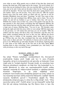were white as snow. **[4](http://bible.cc/matthew/28-4.htm)**The guards were so afraid of him that they shook and became like dead men. **[5](http://bible.cc/matthew/28-5.htm)**The angel said to the women, "Do not be afraid, for I know that you are looking for Jesus, who was crucified. **[6](http://bible.cc/matthew/28-6.htm)**He is not here; he has risen, just as he said. Come and see the place where he lay. **[7](http://bible.cc/matthew/28-7.htm)**Then go quickly and tell his disciples: 'He has risen from the dead and is going ahead of you into Galilee. There you will see him.' Now I have told you." **[8](http://bible.cc/matthew/28-8.htm)**So the women hurried away from the tomb, afraid yet filled with joy, and ran to tell his disciples. **[9](http://bible.cc/matthew/28-9.htm)**Suddenly Jesus met them. "Greetings," he said. They came to him, clasped his feet and worshiped him. **[10](http://bible.cc/matthew/28-10.htm)**Then Jesus said to them, "Do not be afraid. Go and tell my brothers to go to Galilee; there they will see me." **[11](http://bible.cc/matthew/28-11.htm)**While the women were on their way, some of the guards went into the city and reported to the chief priests everything that had happened. **[12](http://bible.cc/matthew/28-12.htm)**When the chief priests had met with the elders and devised a plan, they gave the soldiers a large sum of money, **[13](http://bible.cc/matthew/28-13.htm)**telling them, "You are to say, 'His disciples came during the night and stole him away while we were asleep.'**[14](http://bible.cc/matthew/28-14.htm)**If this report gets to the governor, we will satisfy him and keep you out of trouble." **[15](http://bible.cc/matthew/28-15.htm)**So the soldiers took the money and did as they were instructed. And this story has been widely circulated among the Jews to this very day. **[16](http://bible.cc/matthew/28-16.htm)**Then the eleven disciples went to Galilee, to the mountain where Jesus had told them to go. **[17](http://bible.cc/matthew/28-17.htm)**When they saw him, they worshiped him; but some doubted. **[18](http://bible.cc/matthew/28-18.htm)**Then Jesus came to them and said, "All authority in heaven and on earth has been given to me. **[19](http://bible.cc/matthew/28-19.htm)**Therefore go and make disciples of all nations, baptizing them in [a](http://niv.scripturetext.com/matthew/28-1.htm#footnotesa) the name of the Father and of the Son and of the Holy Spirit, **[20](http://bible.cc/matthew/28-20.htm)**and teaching them to obey everything I have commanded you. And surely I am with you always, to the very end of the age."

### SUNDAY, APRIL 12, 2020 **Գործք 1:15-26**

Այդ օրերը՝ Պետրոս կանգնեցաւ աշակերտներուն մէջ, (հաւաքուած բազմութիւնը հարիւր քսան հոգիի չափ էր,) եւ ըսաւ. «Մարդի՛կ եղբայրներ, պէ՛տք էր որ իրագործուէր այն գրուածը, որ նախապէս Սուրբ Հոգին ըսեր էր Դաւիթի բերանով՝ Յուդայի մասին, որ առաջնորդ եղաւ Յիսուսը բռնողներուն. որովհետեւ ան մեզի հետ՝ մեր համրանքէն էր, եւ բաժին վիճակուած էր անոր այս սպասարկութենէն: Ուրեմն ասիկա տիրացաւ ագարակի մը՝ անիրաւութեան վարձքով, ու գլխիվայր իյնալով՝ մէջտեղէն ճեղքուեցաւ, եւ իր բոլոր աղիքները դուրս թափեցան: Երուսաղէմի բոլոր բնակիչները գիտցան այս բանը, այնպէս որ այդ ագարակը կոչուեցաւ իրենց բարբառով Ակեղդամա, այսինքն՝ Արիւնի ագարակ: Որովհետեւ գրուած է Սաղմոսներու գիրքին մէջ. "Անոր բնակարանը ամայի թող ըլլայ, եւ անոր մէջ ո՛չ մէկը բնակի", նաեւ. "Անոր պաշտօնը ուրի՛շը առնէ": Ուրեմն պէտք է որ այս մարդոցմէն՝ որոնք մեզի հետ էին այն ամբողջ ժամանակը, երբ Տէր Յիսուս մտաւ ու ելաւ մեր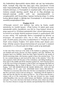մէջ, Յովհաննէսի մկրտութենէն սկսեալ մինչեւ այն օրը՝ երբ համբարձաւ մեզմէ, ասոնցմէ մէկը մեզի հետ վկայ ըլլայ անոր յարութեան»: Ուստի երկու հոգի կայնեցուցին, Յովսէփը՝ որ Բարսաբա կը կոչուէր եւ Յուստոս մականուանուեցաւ, ու Մատաթիան, եւ աղօթելով՝ ըսին. «Տէ՛ր, դուն որ կը ճանչնաս բոլորին սիրտերը, յայտնէ՛ մեզի թէ ո՛ր մէկը ընտրեցիր այս երկուքէն. որպէսզի բաժին առնէ այս սպասարկութենէն ու առաքելութենէն, որմէ Յուդա ինկաւ՝ երթալու համար իր տեղը»: Եւ անոնց համար վիճակ ձգեցին, ու վիճակը ելաւ Մատաթիայի. եւ ան համրուեցաւ տասնմէկ առաքեալներուն հետ:

### **Մարկոս 16:2-8**

[2](http://biblehub.com/mark/16-2.htm)Մէկշաբթի առտուն՝ շատ կանուխ, երբ արեւը կը ծագէր, գացին գերեզմանը, [3](http://biblehub.com/mark/16-3.htm)ու կ՚ըսէին իրարու. «Մեզի համար ո՞վ պիտի գլորէ քարը՝ գերեզմանին դռնէն», [4](http://biblehub.com/mark/16-4.htm)որովհետեւ շատ մեծ էր: Բայց նայելով՝ տեսան թէ քարը գլորուած էր: [5](http://biblehub.com/mark/16-5.htm)Մտնելով գերեզմանէն ներս՝ տեսան երիտասարդ մը, որ նստած էր աջ կողմը՝ ճերմակ պարեգօտ հագած, եւ զարհուրեցան: [6](http://biblehub.com/mark/16-6.htm)Ան ալ ըսաւ անոնց. «Մի՛ զարհուրիք. Յիսուս Նազովրեցի՛ն կը փնտռէք՝ որ խաչուեցաւ: Ան յարութի՛ւն առաւ, հոս չէ: Ահա՛ այն տեղը՝ ուր դրին զայն: [7](http://biblehub.com/mark/16-7.htm)Ուրեմն գացէ՛ք, ըսէ՛ք անոր աշակերտներուն ու Պետրոսի՝ թէ ահա՛ ձեզմէ առաջ կ՚երթայ Գալիլեա. հո՛ն պիտի տեսնէք զայն՝ ինչպէս ըսաւ ձեզի»: [8](http://biblehub.com/mark/16-8.htm)Անոնք՝ դողով եւ հիացումով համակուած՝ դուրս ելան՝՝ ու փախան գերեզմանէն, եւ ո՛չ մէկ բան ըսին ոեւէ մէկուն, քանի որ կը վախնային:

### **Act 1:15-26**

At this time Peter stood up in the midst of the brethren (a gathering of about one hundred and twenty persons was there together), and said, "Brethren, the Scripture had to be fulfilled, which the Holy Spirit foretold by the mouth of David concerning Judas, who became a guide to those who arrested Jesus. "For he was counted among us and received his share in this ministry." (Now this man acquired a field with the price of his wickedness, and falling headlong, he burst open in the middle and all his intestines gushed out. And it became known to all who were living in Jerusalem; so that in their own language that field was called Hakeldama, that is, Field of Blood.) "For it is written in the book of Psalms, 'LET HIS HOMESTEAD BE MADE DESOLATE, AND LET NO ONE DWELL IN IT'; and, 'LET ANOTHER MAN TAKE HIS OFFICE.' "Therefore it is necessary that of the men who have accompanied us all the time that the Lord Jesus went in and out among us— beginning with the baptism of John until the day that He was taken up from us—one of these must become a witness with us of His resurrection." So they put forward two men, Joseph called Barsabbas (who was also called Justus), and Matthias. And they prayed and said, "You, Lord, who know the hearts of all men, show which one of these two You have chosen to occupy this ministry and apostleship from which Judas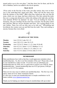turned aside to go to his own place." And they drew lots for them, and the lot fell to Matthias; and he was added to the eleven apostles.

#### **Mark 16:2-8**

**[2](http://bible.cc/mark/16-2.htm)**Very early on the first day of the week, just after sunrise, they were on their way to the tomb **[3](http://bible.cc/mark/16-3.htm)**and they asked each other, "Who will roll the stone away from the entrance of the tomb?" **[4](http://bible.cc/mark/16-4.htm)**But when they looked up, they saw that the stone, which was very large, had been rolled away. **[5](http://bible.cc/mark/16-5.htm)**As they entered the tomb, they saw a young man dressed in a white robe sitting on the right side, and they were alarmed. **[6](http://bible.cc/mark/16-6.htm)**"Don't be alarmed," he said. "You are looking for Jesus the Nazarene, who was crucified. He has risen! He is not here. See the place where they laid him. **[7](http://bible.cc/mark/16-7.htm)**But go, tell his disciples and Peter, 'He is going ahead of you into Galilee. There you will see him, just as he told you.'" **[8](http://bible.cc/mark/16-8.htm)**Trembling and bewildered, the women went out and fled from the tomb. They said nothing to anyone, because they were afraid.



### **READINGS OF THE WEEK**

| <b>Monday</b>   | Acts 2:22-41; Luke 24:1-12                  |
|-----------------|---------------------------------------------|
| Tuesday         | Acts 2:42-3:21; Luke 24:13-35               |
| Wednesday       | Acts 3:22-4:12; James 1:1-12; Luke 24:36-40 |
| <b>Thursday</b> | Acts 4:13-31; James 1:13-27; Matthew 5:1-12 |
| Friday          | Acts 4:32-5:11; James 2:1-13; John 21:1-14  |
| <b>Saturday</b> | Acts 5:12-33; James 2:14-26; John 21:15-25  |

#### **MEMBERSHIP**

Many parishioners have told us that they would appreciate reminders about membership dues. So, this is our first reminder of the year! Please take a look at your checkbook or other records. If you have not yet submitted your membership dues for 2020, now is a great time to send in your 2020 St. James membership dues. Annual membership dues are \$125 per person; \$100 per person over 65; \$75 for students.

There are two easy ways to submit your membership dues. The first way is by check, made out to St. James Armenian Church. It's also easy to send your membership dues or steeple contribution via St. James website [www.stjamesevanston.org](http://www.stjamesevanston.org/)

Thank you for helping our church to keep its memberships rolls up to date!